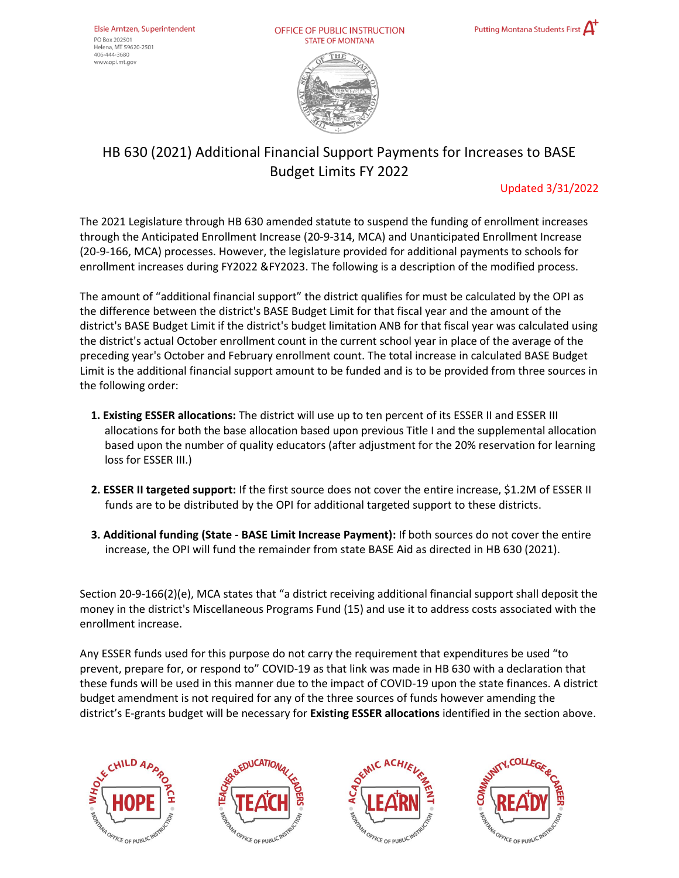OFFICE OF PUBLIC INSTRUCTION **STATE OF MONTANA** 





## HB 630 (2021) Additional Financial Support Payments for Increases to BASE Budget Limits FY 2022

## Updated 3/31/2022

The 2021 Legislature through HB 630 amended statute to suspend the funding of enrollment increases through the Anticipated Enrollment Increase (20-9-314, MCA) and Unanticipated Enrollment Increase (20-9-166, MCA) processes. However, the legislature provided for additional payments to schools for enrollment increases during FY2022 &FY2023. The following is a description of the modified process.

The amount of "additional financial support" the district qualifies for must be calculated by the OPI as the difference between the district's BASE Budget Limit for that fiscal year and the amount of the district's BASE Budget Limit if the district's budget limitation ANB for that fiscal year was calculated using the district's actual October enrollment count in the current school year in place of the average of the preceding year's October and February enrollment count. The total increase in calculated BASE Budget Limit is the additional financial support amount to be funded and is to be provided from three sources in the following order:

- **1. Existing ESSER allocations:** The district will use up to ten percent of its ESSER II and ESSER III allocations for both the base allocation based upon previous Title I and the supplemental allocation based upon the number of quality educators (after adjustment for the 20% reservation for learning loss for ESSER III.)
- **2. ESSER II targeted support:** If the first source does not cover the entire increase, \$1.2M of ESSER II funds are to be distributed by the OPI for additional targeted support to these districts.
- **3. Additional funding (State - BASE Limit Increase Payment):** If both sources do not cover the entire increase, the OPI will fund the remainder from state BASE Aid as directed in HB 630 (2021).

Section 20-9-166(2)(e), MCA states that "a district receiving additional financial support shall deposit the money in the district's Miscellaneous Programs Fund (15) and use it to address costs associated with the enrollment increase.

Any ESSER funds used for this purpose do not carry the requirement that expenditures be used "to prevent, prepare for, or respond to" COVID-19 as that link was made in HB 630 with a declaration that these funds will be used in this manner due to the impact of COVID-19 upon the state finances. A district budget amendment is not required for any of the three sources of funds however amending the district's E-grants budget will be necessary for **Existing ESSER allocations** identified in the section above.